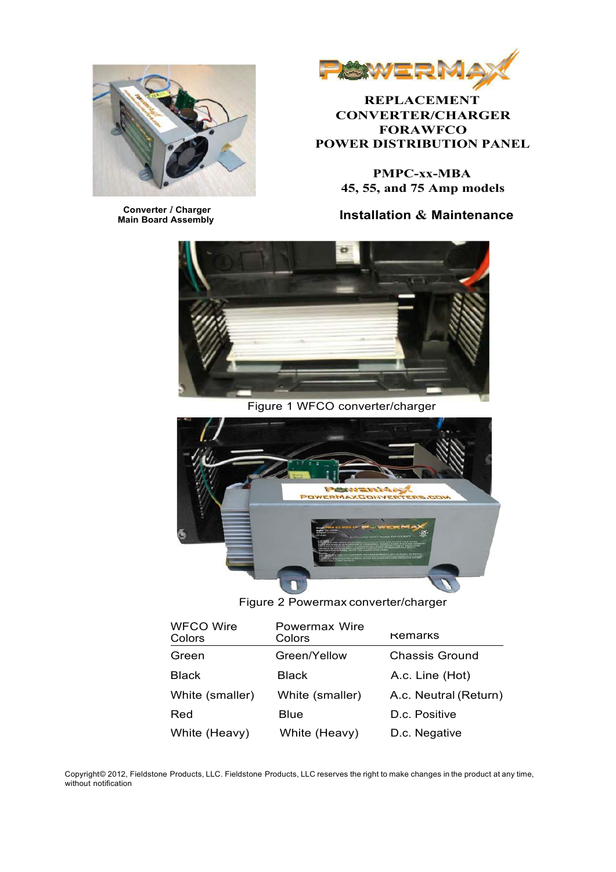

**MANE.** २ाज

**REPLACEMENT CONVERTER/CHARGER FORAWFCO POWER DISTRIBUTION PANEL**

**PMPC-xx-MBA 45, 55, and 75 Amp models**

**Installation & Maintenance**



Figure 1 WFCO converter/charger



Figure 2 Powermax converter/charger

| <b>WFCO Wire</b><br>Colors | Powermax Wire<br>Colors | Remarks               |
|----------------------------|-------------------------|-----------------------|
| Green                      | Green/Yellow            | Chassis Ground        |
| <b>Black</b>               | <b>Black</b>            | A.c. Line (Hot)       |
| White (smaller)            | White (smaller)         | A.c. Neutral (Return) |
| Red                        | Blue                    | D.c. Positive         |
| White (Heavy)              | White (Heavy)           | D.c. Negative         |

Copyright© 2012, Fieldstone Products, LLC. Fieldstone Products, LLC reserves the right to make changes in the product at any time, without notification

**Converter** *I* **Charger Main Board Assembly**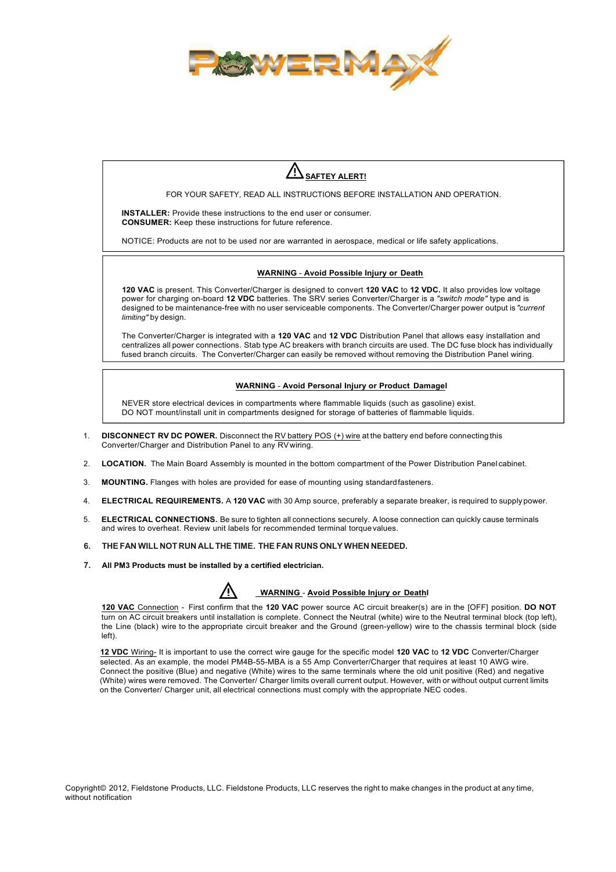

# **SAFTEY ALERT!**

FOR YOUR SAFETY, READ ALL INSTRUCTIONS BEFORE INSTALLATION AND OPERATION.

**INSTALLER:** Provide these instructions to the end user or consumer. **CONSUMER:** Keep these instructions for future reference.

NOTICE: Products are not to be used nor are warranted in aerospace, medical or life safety applications.

#### **WARNING** - **Avoid Possible Injury or Death**

**120 VAC** is present. This Converter/Charger is designed to convert **120 VAC** to **12 VDC.** It also provides low voltage power for charging on-board **12 VDC** batteries. The SRV series Converter/Charger is a *"switch mode"* type and is designed to be maintenance-free with no user serviceable components. The Converter/Charger power output is *"current limiting"* by design.

The Converter/Charger is integrated with a **120 VAC** and **12 VDC** Distribution Panel that allows easy installation and centralizes all power connections. Stab type AC breakers with branch circuits are used. The DC fuse block has individually fused branch circuits. The Converter/Charger can easily be removed without removing the Distribution Panel wiring.

#### **WARNING** - **Avoid Personal Injury or Product Damagel**

NEVER store electrical devices in compartments where flammable liquids (such as gasoline) exist. DO NOT mount/install unit in compartments designed for storage of batteries of flammable liquids.

- 1. **DISCONNECT RV DC POWER.** Disconnect the RV battery POS (+) wire at the battery end before connecting this Converter/Charger and Distribution Panel to any RVwiring.
- 2. **LOCATION.** The Main Board Assembly is mounted in the bottom compartment of the Power Distribution Panel cabinet.
- 3. **MOUNTING.** Flanges with holes are provided for ease of mounting using standardfasteners.
- 4. **ELECTRICAL REQUIREMENTS.** A **120 VAC** with 30 Amp source, preferably a separate breaker, is required to supply power.
- 5. **ELECTRICAL CONNECTIONS.** Be sure to tighten all connections securely. A loose connection can quickly cause terminals and wires to overheat. Review unit labels for recommended terminal torque values.
- **6. THE FAN WILL NOT RUN ALL THE TIME. THE FAN RUNS ONLY WHEN NEEDED.**
- **7. All PM3 Products must be installed by a certified electrician.**



#### **WARNING** - **Avoid Possible Injury or Deathl**

**120 VAC** Connection - First confirm that the **120 VAC** power source AC circuit breaker(s) are in the [OFF] position. **DO NOT** turn on AC circuit breakers until installation is complete. Connect the Neutral (white) wire to the Neutral terminal block (top left), the Line (black) wire to the appropriate circuit breaker and the Ground (green-yellow) wire to the chassis terminal block (side left).

**12 VDC** Wiring- It is important to use the correct wire gauge for the specific model **120 VAC** to **12 VDC** Converter/Charger selected. As an example, the model PM4B-55-MBA is a 55 Amp Converter/Charger that requires at least 10 AWG wire. Connect the positive (Blue) and negative (White) wires to the same terminals where the old unit positive (Red) and negative (White) wires were removed. The Converter/ Charger limits overall current output. However, with or without output current limits on the Converter/ Charger unit, all electrical connections must comply with the appropriate NEC codes.

Copyright© 2012, Fieldstone Products, LLC. Fieldstone Products, LLC reserves the right to make changes in the product at any time, without notification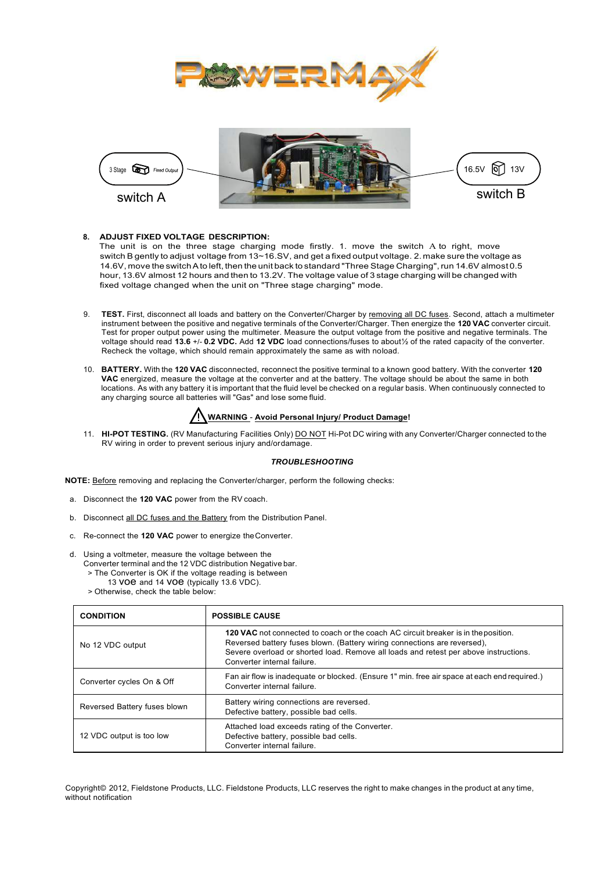



#### **8. ADJUST FIXED VOLTAGE DESCRIPTION:**

The unit is on the three stage charging mode firstly. 1. move the switch A to right, move switch B gently to adjust voltage from 13~16.SV, and get a fixed output voltage. 2. make sure the voltage as 14.6V, move the switch A to left, then the unit back to standard "Three Stage Charging", run 14.6V almost 0.5 hour, 13.6V almost 12 hours and then to 13.2V. The voltage value of 3 stage charging will be changed with fixed voltage changed when the unit on "Three stage charging" mode.

- 9. **TEST.** First, disconnect all loads and battery on the Converter/Charger by removing all DC fuses. Second, attach a multimeter instrument between the positive and negative terminals of the Converter/Charger. Then energize the **120 VAC** converter circuit. Test for proper output power using the multimeter. Measure the output voltage from the positive and negative terminals. The voltage should read **13.6** +/- **0.2 VDC.** Add **12 VDC** load connections/fuses to about½ of the rated capacity of the converter. Recheck the voltage, which should remain approximately the same as with noload.
- 10. **BATTERY.** With the **120 VAC** disconnected, reconnect the positive terminal to a known good battery. With the converter **120 VAC** energized, measure the voltage at the converter and at the battery. The voltage should be about the same in both locations. As with any battery it is important that the fluid level be checked on a regular basis. When continuously connected to any charging source all batteries will "Gas" and lose some fluid.

## **WARNING** - **Avoid Personal Injury/ Product Damage!**

11. **HI-POT TESTING.** (RV Manufacturing Facilities Only) DO NOT Hi-Pot DC wiring with any Converter/Charger connected to the RV wiring in order to prevent serious injury and/ordamage.

#### *TROUBLESHOOTING*

**NOTE:** Before removing and replacing the Converter/charger, perform the following checks:

- a. Disconnect the **120 VAC** power from the RV coach.
- b. Disconnect all DC fuses and the Battery from the Distribution Panel.
- c. Re-connect the **120 VAC** power to energize theConverter.
- d. Using a voltmeter, measure the voltage between the Converter terminal and the 12 VDC distribution Negative bar. > The Converter is OK if the voltage reading is between
	- 13 voe and 14 voe (typically 13.6 VDC).
	- > Otherwise, check the table below:

| <b>CONDITION</b>             | <b>POSSIBLE CAUSE</b>                                                                                                                                                                                                                                                                        |  |
|------------------------------|----------------------------------------------------------------------------------------------------------------------------------------------------------------------------------------------------------------------------------------------------------------------------------------------|--|
| No 12 VDC output             | <b>120 VAC</b> not connected to coach or the coach AC circuit breaker is in the position.<br>Reversed battery fuses blown. (Battery wiring connections are reversed).<br>Severe overload or shorted load. Remove all loads and retest per above instructions.<br>Converter internal failure. |  |
| Converter cycles On & Off    | Fan air flow is inadequate or blocked. (Ensure 1" min. free air space at each end required.)<br>Converter internal failure.                                                                                                                                                                  |  |
| Reversed Battery fuses blown | Battery wiring connections are reversed.<br>Defective battery, possible bad cells.                                                                                                                                                                                                           |  |
| 12 VDC output is too low     | Attached load exceeds rating of the Converter.<br>Defective battery, possible bad cells.<br>Converter internal failure.                                                                                                                                                                      |  |

Copyright© 2012, Fieldstone Products, LLC. Fieldstone Products, LLC reserves the right to make changes in the product at any time, without notification